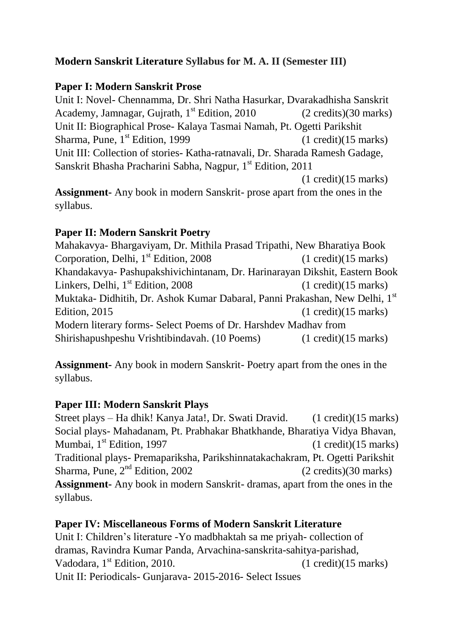### **Modern Sanskrit Literature Syllabus for M. A. II (Semester III)**

#### **Paper I: Modern Sanskrit Prose**

Unit I: Novel- Chennamma, Dr. Shri Natha Hasurkar, Dvarakadhisha Sanskrit Academy, Jamnagar, Gujrath,  $1<sup>st</sup>$  Edition, 2010 (2 credits)(30 marks) Unit II: Biographical Prose- Kalaya Tasmai Namah, Pt. Ogetti Parikshit Sharma, Pune, 1<sup>st</sup> Edition, 1999  $(1 \text{ credit})(15 \text{ marks})$ Unit III: Collection of stories- Katha-ratnavali, Dr. Sharada Ramesh Gadage, Sanskrit Bhasha Pracharini Sabha, Nagpur, 1<sup>st</sup> Edition, 2011 (1 credit)(15 marks)

**Assignment-** Any book in modern Sanskrit- prose apart from the ones in the syllabus.

#### **Paper II: Modern Sanskrit Poetry**

Mahakavya- Bhargaviyam, Dr. Mithila Prasad Tripathi, New Bharatiya Book Corporation, Delhi,  $1<sup>st</sup>$  Edition, 2008 (1 credit)(15 marks) Khandakavya- Pashupakshivichintanam, Dr. Harinarayan Dikshit, Eastern Book Linkers, Delhi,  $1<sup>st</sup>$  Edition, 2008 (1 credit)(15 marks) Muktaka- Didhitih, Dr. Ashok Kumar Dabaral, Panni Prakashan, New Delhi, 1<sup>st</sup> Edition,  $2015$  (1 credit)(15 marks) Modern literary forms- Select Poems of Dr. Harshdev Madhav from Shirishapushpeshu Vrishtibindavah. (10 Poems) (1 credit)(15 marks)

**Assignment-** Any book in modern Sanskrit- Poetry apart from the ones in the syllabus.

#### **Paper III: Modern Sanskrit Plays**

Street plays – Ha dhik! Kanya Jata!, Dr. Swati Dravid. (1 credit)(15 marks) Social plays- Mahadanam, Pt. Prabhakar Bhatkhande, Bharatiya Vidya Bhavan, Mumbai,  $1^{st}$  Edition, 1997 (1 credit)(15 marks) Traditional plays- Premapariksha, Parikshinnatakachakram, Pt. Ogetti Parikshit Sharma, Pune,  $2<sup>nd</sup>$  Edition, 2002 (2 credits)(30 marks) **Assignment-** Any book in modern Sanskrit- dramas, apart from the ones in the syllabus.

#### **Paper IV: Miscellaneous Forms of Modern Sanskrit Literature**

Unit I: Children's literature -Yo madbhaktah sa me priyah- collection of dramas, Ravindra Kumar Panda, Arvachina-sanskrita-sahitya-parishad, Vadodara,  $1^{st}$  Edition, 2010. (1 credit)(15 marks) Unit II: Periodicals- Gunjarava- 2015-2016- Select Issues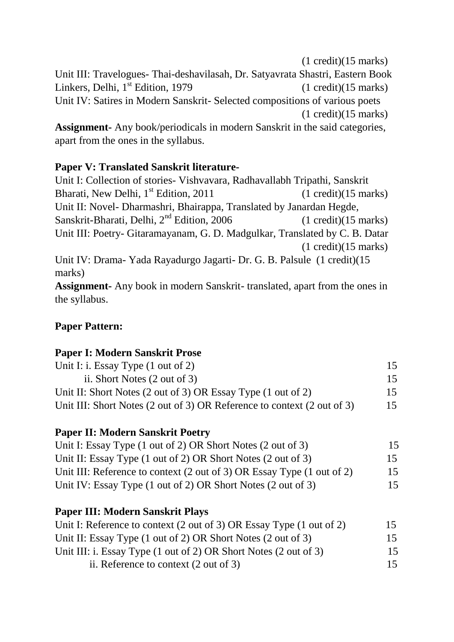(1 credit)(15 marks) Unit III: Travelogues- Thai-deshavilasah, Dr. Satyavrata Shastri, Eastern Book Linkers, Delhi, 1<sup>st</sup> Edition, 1979 (1 credit)(15 marks) Unit IV: Satires in Modern Sanskrit- Selected compositions of various poets (1 credit)(15 marks) **Assignment-** Any book/periodicals in modern Sanskrit in the said categories, apart from the ones in the syllabus.

### **Paper V: Translated Sanskrit literature-**

Unit I: Collection of stories- Vishvavara, Radhavallabh Tripathi, Sanskrit Bharati, New Delhi,  $1^{st}$  Edition, 2011 (1 credit)(15 marks) Unit II: Novel- Dharmashri, Bhairappa, Translated by Janardan Hegde, Sanskrit-Bharati, Delhi, 2<sup>nd</sup> Edition, 2006 (1 credit)(15 marks) Unit III: Poetry- Gitaramayanam, G. D. Madgulkar, Translated by C. B. Datar (1 credit)(15 marks) Unit IV: Drama- Yada Rayadurgo Jagarti- Dr. G. B. Palsule (1 credit)(15

marks) **Assignment-** Any book in modern Sanskrit- translated, apart from the ones in

the syllabus.

## **Paper Pattern:**

#### **Paper I: Modern Sanskrit Prose**

| Unit I: i. Essay Type $(1 \text{ out of } 2)$                           | 15 |
|-------------------------------------------------------------------------|----|
| ii. Short Notes (2 out of 3)                                            | 15 |
| Unit II: Short Notes (2 out of 3) OR Essay Type (1 out of 2)            | 15 |
| Unit III: Short Notes (2 out of 3) OR Reference to context (2 out of 3) | 15 |

#### **Paper II: Modern Sanskrit Poetry**

| Unit I: Essay Type (1 out of 2) OR Short Notes (2 out of 3)            | 15 |
|------------------------------------------------------------------------|----|
| Unit II: Essay Type (1 out of 2) OR Short Notes (2 out of 3)           | 15 |
| Unit III: Reference to context (2 out of 3) OR Essay Type (1 out of 2) | 15 |
| Unit IV: Essay Type (1 out of 2) OR Short Notes (2 out of 3)           | 15 |

# **Paper III: Modern Sanskrit Plays**

| Unit I: Reference to context (2 out of 3) OR Essay Type (1 out of 2) | 15 |
|----------------------------------------------------------------------|----|
| Unit II: Essay Type (1 out of 2) OR Short Notes (2 out of 3)         | 15 |
| Unit III: i. Essay Type (1 out of 2) OR Short Notes (2 out of 3)     | 15 |
| ii. Reference to context $(2 \text{ out of } 3)$                     | 15 |